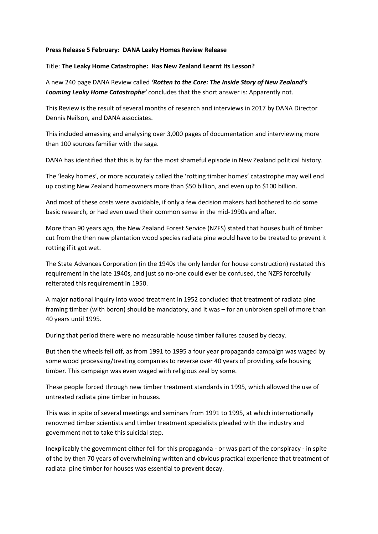## **Press Release 5 February: DANA Leaky Homes Review Release**

## Title: **The Leaky Home Catastrophe: Has New Zealand Learnt Its Lesson?**

A new 240 page DANA Review called *'Rotten to the Core: The Inside Story of New Zealand's Looming Leaky Home Catastrophe'* concludes that the short answer is: Apparently not.

This Review is the result of several months of research and interviews in 2017 by DANA Director Dennis Neilson, and DANA associates.

This included amassing and analysing over 3,000 pages of documentation and interviewing more than 100 sources familiar with the saga.

DANA has identified that this is by far the most shameful episode in New Zealand political history.

The 'leaky homes', or more accurately called the 'rotting timber homes' catastrophe may well end up costing New Zealand homeowners more than \$50 billion, and even up to \$100 billion.

And most of these costs were avoidable, if only a few decision makers had bothered to do some basic research, or had even used their common sense in the mid-1990s and after.

More than 90 years ago, the New Zealand Forest Service (NZFS) stated that houses built of timber cut from the then new plantation wood species radiata pine would have to be treated to prevent it rotting if it got wet.

The State Advances Corporation (in the 1940s the only lender for house construction) restated this requirement in the late 1940s, and just so no-one could ever be confused, the NZFS forcefully reiterated this requirement in 1950.

A major national inquiry into wood treatment in 1952 concluded that treatment of radiata pine framing timber (with boron) should be mandatory, and it was – for an unbroken spell of more than 40 years until 1995.

During that period there were no measurable house timber failures caused by decay.

But then the wheels fell off, as from 1991 to 1995 a four year propaganda campaign was waged by some wood processing/treating companies to reverse over 40 years of providing safe housing timber. This campaign was even waged with religious zeal by some.

These people forced through new timber treatment standards in 1995, which allowed the use of untreated radiata pine timber in houses.

This was in spite of several meetings and seminars from 1991 to 1995, at which internationally renowned timber scientists and timber treatment specialists pleaded with the industry and government not to take this suicidal step.

Inexplicably the government either fell for this propaganda - or was part of the conspiracy - in spite of the by then 70 years of overwhelming written and obvious practical experience that treatment of radiata pine timber for houses was essential to prevent decay.